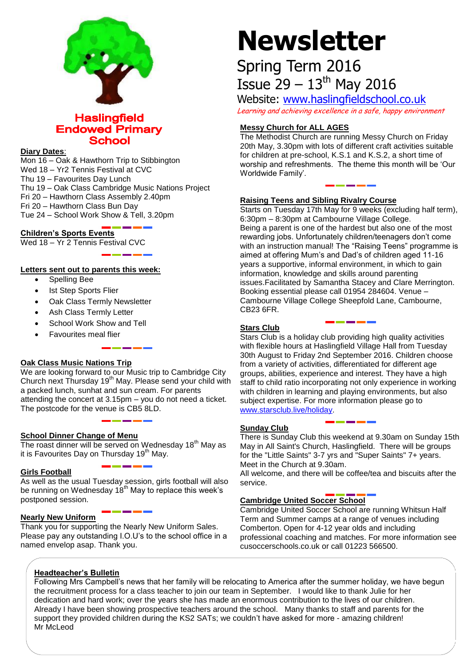

# **Haslingfield Endowed Primary School**

#### **Diary Dates**:

Mon 16 – Oak & Hawthorn Trip to Stibbington Wed 18 – Yr2 Tennis Festival at CVC Thu 19 – Favourites Day Lunch Thu 19 – Oak Class Cambridge Music Nations Project Fri 20 – Hawthorn Class Assembly 2.40pm Fri 20 – Hawthorn Class Bun Day Tue 24 – School Work Show & Tell, 3.20pm

**Children's Sports Events**

Wed 18 - Yr 2 Tennis Festival CVC

#### **Letters sent out to parents this week:**

- Spelling Bee
- Ist Step Sports Flier
- Oak Class Termly Newsletter
- Ash Class Termly Letter
- School Work Show and Tell
- Favourites meal flier

# **Oak Class Music Nations Trip**

We are looking forward to our Music trip to Cambridge City Church next Thursday 19<sup>th</sup> May. Please send your child with a packed lunch, sunhat and sun cream. For parents attending the concert at 3.15pm – you do not need a ticket. The postcode for the venue is CB5 8LD.

#### **School Dinner Change of Menu**

The roast dinner will be served on Wednesday  $18<sup>th</sup>$  May as it is Favourites Day on Thursday  $19<sup>th</sup>$  May.

## **Girls Football**

As well as the usual Tuesday session, girls football will also be running on Wednesday  $18<sup>th</sup>$  May to replace this week's postponed session.

#### **Nearly New Uniform**

Thank you for supporting the Nearly New Uniform Sales. Please pay any outstanding I.O.U's to the school office in a named envelop asap. Thank you.

# **Newsletter**

# Spring Term 2016 Issue  $29 - 13$ <sup>th</sup> May 2016

Website: [www.haslingfieldschool.co.uk](http://www.haslingfieldschool.co.uk/) Learning and achieving excellence in a safe, happy environment

# **Messy Church for ALL AGES**

The Methodist Church are running Messy Church on Friday 20th May, 3.30pm with lots of different craft activities suitable for children at pre-school, K.S.1 and K.S.2, a short time of worship and refreshments. The theme this month will be 'Our Worldwide Family'.

## **Raising Teens and Sibling Rivalry Course**

Starts on Tuesday 17th May for 9 weeks (excluding half term), 6:30pm – 8:30pm at Cambourne Village College. Being a parent is one of the hardest but also one of the most rewarding jobs. Unfortunately children/teenagers don't come with an instruction manual! The "Raising Teens" programme is aimed at offering Mum's and Dad's of children aged 11-16 years a supportive, informal environment, in which to gain information, knowledge and skills around parenting issues.Facilitated by Samantha Stacey and Clare Merrington. Booking essential please call 01954 284604. Venue – Cambourne Village College Sheepfold Lane, Cambourne, CB23 6FR.

## **Stars Club**

Stars Club is a holiday club providing high quality activities with flexible hours at Haslingfield Village Hall from Tuesday 30th August to Friday 2nd September 2016. Children choose from a variety of activities, differentiated for different age groups, abilities, experience and interest. They have a high staff to child ratio incorporating not only experience in working with children in learning and playing environments, but also subject expertise. For more information please go to [www.starsclub.live/holiday.](http://www.starsclub.live/holiday)

#### **Sunday Club**

There is Sunday Club this weekend at 9.30am on Sunday 15th May in All Saint's Church, Haslingfield. There will be groups for the "Little Saints" 3-7 yrs and "Super Saints" 7+ years. Meet in the Church at 9.30am.

All welcome, and there will be coffee/tea and biscuits after the service.

# **Cambridge United Soccer School**

Cambridge United Soccer School are running Whitsun Half Term and Summer camps at a range of venues including Comberton. Open for 4-12 year olds and including professional coaching and matches. For more information see cusoccerschools.co.uk or call 01223 566500.

#### **Headteacher's Bulletin**

Following Mrs Campbell's news that her family will be relocating to America after the summer holiday, we have begun the recruitment process for a class teacher to join our team in September. I would like to thank Julie for her dedication and hard work; over the years she has made an enormous contribution to the lives of our children. Already I have been showing prospective teachers around the school. Many thanks to staff and parents for the support they provided children during the KS2 SATs; we couldn't have asked for more - amazing children! Mr McLeod<sup>"</sup>